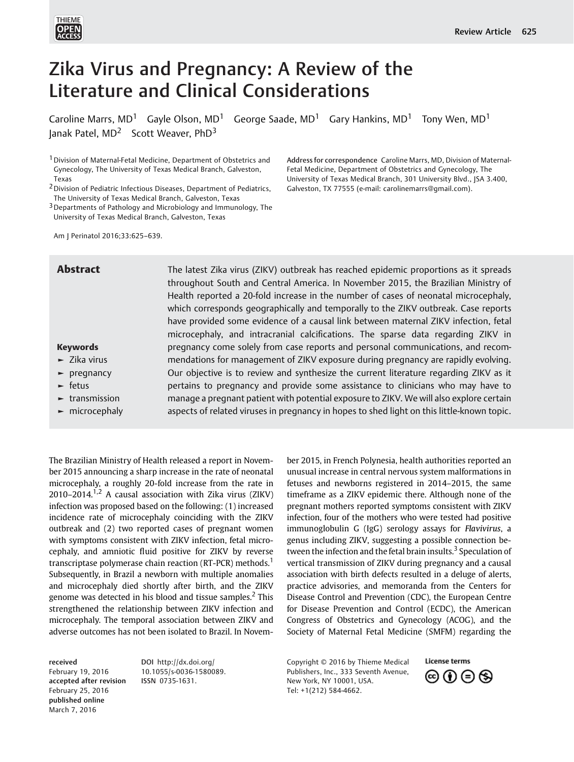

# Zika Virus and Pregnancy: A Review of the Literature and Clinical Considerations

Caroline Marrs, MD<sup>1</sup> Gayle Olson, MD<sup>1</sup> George Saade, MD<sup>1</sup> Gary Hankins, MD<sup>1</sup> Tony Wen, MD<sup>1</sup> Janak Patel, MD<sup>2</sup> Scott Weaver, PhD<sup>3</sup>

1Division of Maternal-Fetal Medicine, Department of Obstetrics and Gynecology, The University of Texas Medical Branch, Galveston, Texas

2Division of Pediatric Infectious Diseases, Department of Pediatrics, The University of Texas Medical Branch, Galveston, Texas

3Departments of Pathology and Microbiology and Immunology, The University of Texas Medical Branch, Galveston, Texas

Address for correspondence Caroline Marrs, MD, Division of Maternal-Fetal Medicine, Department of Obstetrics and Gynecology, The University of Texas Medical Branch, 301 University Blvd., JSA 3.400, Galveston, TX 77555 (e-mail: carolinemarrs@gmail.com).

Am J Perinatol 2016;33:625–639.

Keywords ► Zika virus ► pregnancy ► fetus

 $\blacktriangleright$  transmission ► microcephaly

# Abstract The latest Zika virus (ZIKV) outbreak has reached epidemic proportions as it spreads throughout South and Central America. In November 2015, the Brazilian Ministry of Health reported a 20-fold increase in the number of cases of neonatal microcephaly, which corresponds geographically and temporally to the ZIKV outbreak. Case reports have provided some evidence of a causal link between maternal ZIKV infection, fetal microcephaly, and intracranial calcifications. The sparse data regarding ZIKV in pregnancy come solely from case reports and personal communications, and recommendations for management of ZIKV exposure during pregnancy are rapidly evolving. Our objective is to review and synthesize the current literature regarding ZIKV as it pertains to pregnancy and provide some assistance to clinicians who may have to manage a pregnant patient with potential exposure to ZIKV. We will also explore certain aspects of related viruses in pregnancy in hopes to shed light on this little-known topic.

The Brazilian Ministry of Health released a report in November 2015 announcing a sharp increase in the rate of neonatal microcephaly, a roughly 20-fold increase from the rate in 2010–2014.<sup>1,2</sup> A causal association with Zika virus (ZIKV) infection was proposed based on the following: (1) increased incidence rate of microcephaly coinciding with the ZIKV outbreak and (2) two reported cases of pregnant women with symptoms consistent with ZIKV infection, fetal microcephaly, and amniotic fluid positive for ZIKV by reverse transcriptase polymerase chain reaction (RT-PCR) methods.<sup>1</sup> Subsequently, in Brazil a newborn with multiple anomalies and microcephaly died shortly after birth, and the ZIKV genome was detected in his blood and tissue samples.<sup>2</sup> This strengthened the relationship between ZIKV infection and microcephaly. The temporal association between ZIKV and adverse outcomes has not been isolated to Brazil. In Novem-

ber 2015, in French Polynesia, health authorities reported an unusual increase in central nervous system malformations in fetuses and newborns registered in 2014–2015, the same timeframe as a ZIKV epidemic there. Although none of the pregnant mothers reported symptoms consistent with ZIKV infection, four of the mothers who were tested had positive immunoglobulin G (IgG) serology assays for Flavivirus, a genus including ZIKV, suggesting a possible connection between the infection and the fetal brain insults.<sup>3</sup> Speculation of vertical transmission of ZIKV during pregnancy and a causal association with birth defects resulted in a deluge of alerts, practice advisories, and memoranda from the Centers for Disease Control and Prevention (CDC), the European Centre for Disease Prevention and Control (ECDC), the American Congress of Obstetrics and Gynecology (ACOG), and the Society of Maternal Fetal Medicine (SMFM) regarding the

received February 19, 2016 accepted after revision February 25, 2016 published online March 7, 2016

DOI http://dx.doi.org/ 10.1[055/s-0036-15800](http://dx.doi.org/10.1055/s-0036-1580089)89. ISSN [0735-1631.](http://dx.doi.org/10.1055/s-0036-1580089)

Copyright © 2016 by Thieme Medical Publishers, Inc., 333 Seventh Avenue, New York, NY 10001, USA. Tel: +1(212) 584-4662.

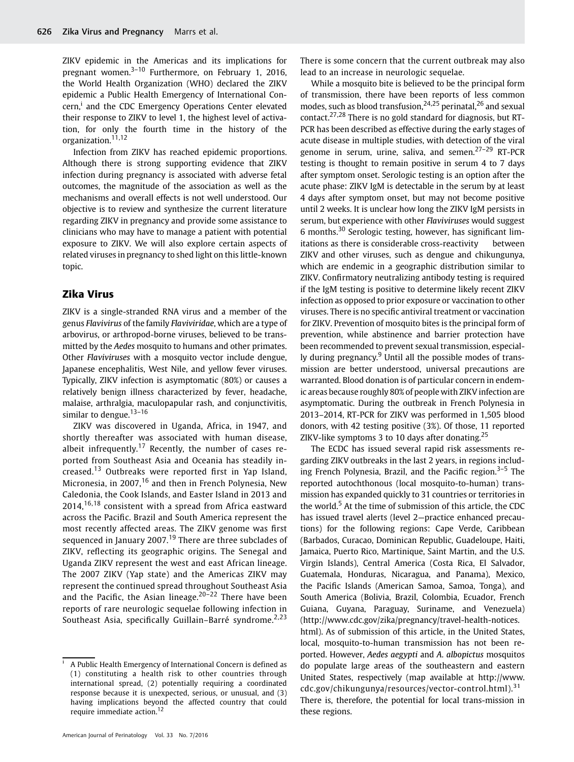ZIKV epidemic in the Americas and its implications for pregnant women. $3-10$  Furthermore, on February 1, 2016, the World Health Organization (WHO) declared the ZIKV epidemic a Public Health Emergency of International Concern,<sup>i</sup> and the CDC Emergency Operations Center elevated their response to ZIKV to level 1, the highest level of activation, for only the fourth time in the history of the organization.11,12

Infection from ZIKV has reached epidemic proportions. Although there is strong supporting evidence that ZIKV infection during pregnancy is associated with adverse fetal outcomes, the magnitude of the association as well as the mechanisms and overall effects is not well understood. Our objective is to review and synthesize the current literature regarding ZIKV in pregnancy and provide some assistance to clinicians who may have to manage a patient with potential exposure to ZIKV. We will also explore certain aspects of related viruses in pregnancy to shed light on this little-known topic.

# Zika Virus

ZIKV is a single-stranded RNA virus and a member of the genus Flavivirus of the family Flaviviridae, which are a type of arbovirus, or arthropod-borne viruses, believed to be transmitted by the Aedes mosquito to humans and other primates. Other Flaviviruses with a mosquito vector include dengue, Japanese encephalitis, West Nile, and yellow fever viruses. Typically, ZIKV infection is asymptomatic (80%) or causes a relatively benign illness characterized by fever, headache, malaise, arthralgia, maculopapular rash, and conjunctivitis, similar to dengue.<sup>13-16</sup>

ZIKV was discovered in Uganda, Africa, in 1947, and shortly thereafter was associated with human disease, albeit infrequently.<sup>17</sup> Recently, the number of cases reported from Southeast Asia and Oceania has steadily increased.<sup>13</sup> Outbreaks were reported first in Yap Island, Micronesia, in 2007,  $16$  and then in French Polynesia, New Caledonia, the Cook Islands, and Easter Island in 2013 and 2014,<sup>16,18</sup> consistent with a spread from Africa eastward across the Pacific. Brazil and South America represent the most recently affected areas. The ZIKV genome was first sequenced in January 2007.<sup>19</sup> There are three subclades of ZIKV, reflecting its geographic origins. The Senegal and Uganda ZIKV represent the west and east African lineage. The 2007 ZIKV (Yap state) and the Americas ZIKV may represent the continued spread throughout Southeast Asia and the Pacific, the Asian lineage. $20\overline{-}22$  There have been reports of rare neurologic sequelae following infection in Southeast Asia, specifically Guillain–Barré syndrome.<sup>2,23</sup> There is some concern that the current outbreak may also lead to an increase in neurologic sequelae.

While a mosquito bite is believed to be the principal form of transmission, there have been reports of less common modes, such as blood transfusion,  $24,25$  perinatal,  $26$  and sexual contact. $27,28$  There is no gold standard for diagnosis, but RT-PCR has been described as effective during the early stages of acute disease in multiple studies, with detection of the viral genome in serum, urine, saliva, and semen. $27-29$  RT-PCR testing is thought to remain positive in serum 4 to 7 days after symptom onset. Serologic testing is an option after the acute phase: ZIKV IgM is detectable in the serum by at least 4 days after symptom onset, but may not become positive until 2 weeks. It is unclear how long the ZIKV IgM persists in serum, but experience with other Flaviviruses would suggest 6 months.<sup>30</sup> Serologic testing, however, has significant limitations as there is considerable cross-reactivity between ZIKV and other viruses, such as dengue and chikungunya, which are endemic in a geographic distribution similar to ZIKV. Confirmatory neutralizing antibody testing is required if the IgM testing is positive to determine likely recent ZIKV infection as opposed to prior exposure or vaccination to other viruses. There is no specific antiviral treatment or vaccination for ZIKV. Prevention of mosquito bites is the principal form of prevention, while abstinence and barrier protection have been recommended to prevent sexual transmission, especially during pregnancy.<sup>9</sup> Until all the possible modes of transmission are better understood, universal precautions are warranted. Blood donation is of particular concern in endemic areas because roughly 80% of people with ZIKV infection are asymptomatic. During the outbreak in French Polynesia in 2013–2014, RT-PCR for ZIKV was performed in 1,505 blood donors, with 42 testing positive (3%). Of those, 11 reported ZIKV-like symptoms 3 to 10 days after donating.<sup>25</sup>

The ECDC has issued several rapid risk assessments regarding ZIKV outbreaks in the last 2 years, in regions including French Polynesia, Brazil, and the Pacific region.<sup>3–5</sup> The reported autochthonous (local mosquito-to-human) transmission has expanded quickly to 31 countries or territories in the world. $5$  At the time of submission of this article, the CDC has issued travel alerts (level 2—practice enhanced precautions) for the following regions: Cape Verde, Caribbean (Barbados, Curacao, Dominican Republic, Guadeloupe, Haiti, Jamaica, Puerto Rico, Martinique, Saint Martin, and the U.S. Virgin Islands), Central America (Costa Rica, El Salvador, Guatemala, Honduras, Nicaragua, and Panama), Mexico, the Pacific Islands (American Samoa, Samoa, Tonga), and South America (Bolivia, Brazil, Colombia, Ecuador, French Guiana, Guyana, Paraguay, Suriname, and Venezuela) ([http://www.cdc.gov/zika/pregnancy/travel-health-notices.](http://www.cdc.gov/zika/pregnancy/travel-health-notices.html) [html](http://www.cdc.gov/zika/pregnancy/travel-health-notices.html)). As of submission of this article, in the United States, local, mosquito-to-human transmission has not been reported. However, Aedes aegypti and A. albopictus mosquitos do populate large areas of the southeastern and eastern United States, respectively (map available at [http://www.](http://www.cdc.gov/chikungunya/resources/vector-control.html&x0029;.31) [cdc.gov/chikungunya/resources/vector-control.html\).](http://www.cdc.gov/chikungunya/resources/vector-control.html&x0029;.31)<sup>31</sup> There is, therefore, the potential for local trans-mission in these regions.

A Public Health Emergency of International Concern is defined as (1) constituting a health risk to other countries through international spread, (2) potentially requiring a coordinated response because it is unexpected, serious, or unusual, and (3) having implications beyond the affected country that could require immediate action.<sup>12</sup>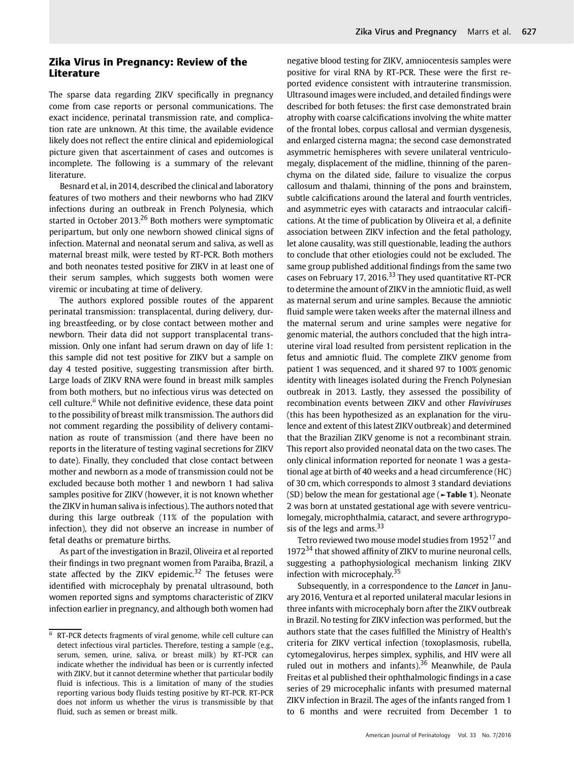# Zika Virus in Pregnancy: Review of the Literature

The sparse data regarding ZIKV specifically in pregnancy come from case reports or personal communications. The exact incidence, perinatal transmission rate, and complication rate are unknown. At this time, the available evidence likely does not reflect the entire clinical and epidemiological picture given that ascertainment of cases and outcomes is incomplete. The following is a summary of the relevant literature.

Besnard et al, in 2014, described the clinical and laboratory features of two mothers and their newborns who had ZIKV infections during an outbreak in French Polynesia, which started in October 2013.<sup>26</sup> Both mothers were symptomatic peripartum, but only one newborn showed clinical signs of infection. Maternal and neonatal serum and saliva, as well as maternal breast milk, were tested by RT-PCR. Both mothers and both neonates tested positive for ZIKV in at least one of their serum samples, which suggests both women were viremic or incubating at time of delivery.

The authors explored possible routes of the apparent perinatal transmission: transplacental, during delivery, during breastfeeding, or by close contact between mother and newborn. Their data did not support transplacental transmission. Only one infant had serum drawn on day of life 1: this sample did not test positive for ZIKV but a sample on day 4 tested positive, suggesting transmission after birth. Large loads of ZIKV RNA were found in breast milk samples from both mothers, but no infectious virus was detected on cell culture.<sup>ii</sup> While not definitive evidence, these data point to the possibility of breast milk transmission. The authors did not comment regarding the possibility of delivery contamination as route of transmission (and there have been no reports in the literature of testing vaginal secretions for ZIKV to date). Finally, they concluded that close contact between mother and newborn as a mode of transmission could not be excluded because both mother 1 and newborn 1 had saliva samples positive for ZIKV (however, it is not known whether the ZIKV in human saliva is infectious). The authors noted that during this large outbreak (11% of the population with infection), they did not observe an increase in number of fetal deaths or premature births.

As part of the investigation in Brazil, Oliveira et al reported their findings in two pregnant women from Paraiba, Brazil, a state affected by the ZIKV epidemic.<sup>32</sup> The fetuses were identified with microcephaly by prenatal ultrasound, both women reported signs and symptoms characteristic of ZIKV infection earlier in pregnancy, and although both women had negative blood testing for ZIKV, amniocentesis samples were positive for viral RNA by RT-PCR. These were the first reported evidence consistent with intrauterine transmission. Ultrasound images were included, and detailed findings were described for both fetuses: the first case demonstrated brain atrophy with coarse calcifications involving the white matter of the frontal lobes, corpus callosal and vermian dysgenesis, and enlarged cisterna magna; the second case demonstrated asymmetric hemispheres with severe unilateral ventriculomegaly, displacement of the midline, thinning of the parenchyma on the dilated side, failure to visualize the corpus callosum and thalami, thinning of the pons and brainstem, subtle calcifications around the lateral and fourth ventricles, and asymmetric eyes with cataracts and intraocular calcifications. At the time of publication by Oliveira et al, a definite association between ZIKV infection and the fetal pathology, let alone causality, was still questionable, leading the authors to conclude that other etiologies could not be excluded. The same group published additional findings from the same two cases on February 17, 2016.<sup>33</sup> They used quantitative RT-PCR to determine the amount of ZIKV in the amniotic fluid, as well as maternal serum and urine samples. Because the amniotic fluid sample were taken weeks after the maternal illness and the maternal serum and urine samples were negative for genomic material, the authors concluded that the high intrauterine viral load resulted from persistent replication in the fetus and amniotic fluid. The complete ZIKV genome from patient 1 was sequenced, and it shared 97 to 100% genomic identity with lineages isolated during the French Polynesian outbreak in 2013. Lastly, they assessed the possibility of recombination events between ZIKV and other Flaviviruses (this has been hypothesized as an explanation for the virulence and extent of this latest ZIKV outbreak) and determined that the Brazilian ZIKV genome is not a recombinant strain. This report also provided neonatal data on the two cases. The only clinical information reported for neonate 1 was a gestational age at birth of 40 weeks and a head circumference (HC) of 30 cm, which corresponds to almost 3 standard deviations (SD) below the mean for gestational age (►Table 1). Neonate 2 was born at unstated gestational age with severe ventriculomegaly, microphthalmia, cataract, and severe arthrogryposis of the legs and arms. $33$ 

Tetro reviewed two mouse model studies from 1952<sup>17</sup> and 1972<sup>34</sup> that showed affinity of ZIKV to murine neuronal cells, suggesting a pathophysiological mechanism linking ZIKV infection with microcephaly.<sup>35</sup>

Subsequently, in a correspondence to the Lancet in January 2016, Ventura et al reported unilateral macular lesions in three infants with microcephaly born after the ZIKV outbreak in Brazil. No testing for ZIKV infection was performed, but the authors state that the cases fulfilled the Ministry of Health's criteria for ZIKV vertical infection (toxoplasmosis, rubella, cytomegalovirus, herpes simplex, syphilis, and HIV were all ruled out in mothers and infants).<sup>36</sup> Meanwhile, de Paula Freitas et al published their ophthalmologic findings in a case series of 29 microcephalic infants with presumed maternal ZIKV infection in Brazil. The ages of the infants ranged from 1 to 6 months and were recruited from December 1 to

RT-PCR detects fragments of viral genome, while cell culture can detect infectious viral particles. Therefore, testing a sample (e.g., serum, semen, urine, saliva, or breast milk) by RT-PCR can indicate whether the individual has been or is currently infected with ZIKV, but it cannot determine whether that particular bodily fluid is infectious. This is a limitation of many of the studies reporting various body fluids testing positive by RT-PCR. RT-PCR does not inform us whether the virus is transmissible by that fluid, such as semen or breast milk.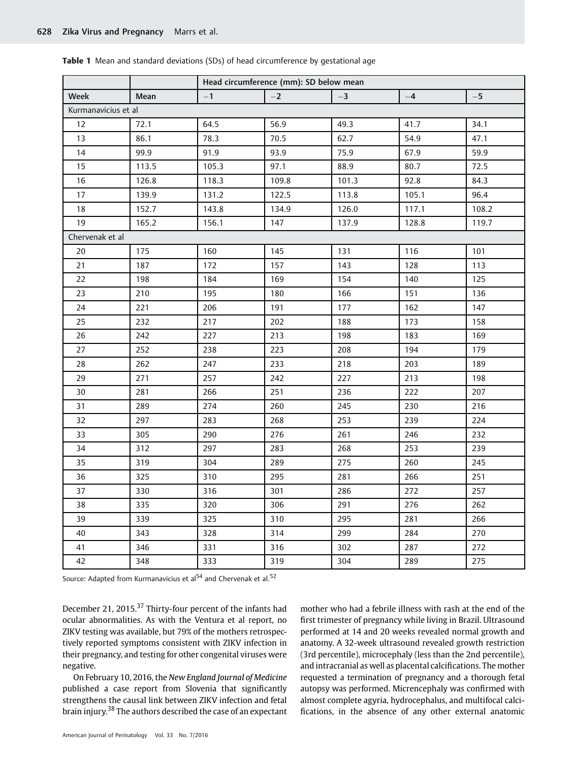| Head circumference (mm): SD below mean |       |       |       |       |       |
|----------------------------------------|-------|-------|-------|-------|-------|
| Mean                                   | $-1$  | $-2$  | $-3$  | $-4$  | $-5$  |
| Kurmanavicius et al                    |       |       |       |       |       |
| 72.1                                   | 64.5  | 56.9  | 49.3  | 41.7  | 34.1  |
| 86.1                                   | 78.3  | 70.5  | 62.7  | 54.9  | 47.1  |
| 99.9                                   | 91.9  | 93.9  | 75.9  | 67.9  | 59.9  |
| 113.5                                  | 105.3 | 97.1  | 88.9  | 80.7  | 72.5  |
| 126.8                                  | 118.3 | 109.8 | 101.3 | 92.8  | 84.3  |
| 139.9                                  | 131.2 | 122.5 | 113.8 | 105.1 | 96.4  |
| 152.7                                  | 143.8 | 134.9 | 126.0 | 117.1 | 108.2 |
| 165.2                                  | 156.1 | 147   | 137.9 | 128.8 | 119.7 |
| Chervenak et al                        |       |       |       |       |       |
| 175                                    | 160   | 145   | 131   | 116   | 101   |
| 187                                    | 172   | 157   | 143   | 128   | 113   |
| 198                                    | 184   | 169   | 154   | 140   | 125   |
| 210                                    | 195   | 180   | 166   | 151   | 136   |
| 221                                    | 206   | 191   | 177   | 162   | 147   |
| 232                                    | 217   | 202   | 188   | 173   | 158   |
| 242                                    | 227   | 213   | 198   | 183   | 169   |
| 252                                    | 238   | 223   | 208   | 194   | 179   |
| 262                                    | 247   | 233   | 218   | 203   | 189   |
| 271                                    | 257   | 242   | 227   | 213   | 198   |
| 281                                    | 266   | 251   | 236   | 222   | 207   |
| 289                                    | 274   | 260   | 245   | 230   | 216   |
| 297                                    | 283   | 268   | 253   | 239   | 224   |
| 305                                    | 290   | 276   | 261   | 246   | 232   |
| 312                                    | 297   | 283   | 268   | 253   | 239   |
| 319                                    | 304   | 289   | 275   | 260   | 245   |
| 325                                    | 310   | 295   | 281   | 266   | 251   |
| 330                                    | 316   | 301   | 286   | 272   | 257   |
| 335                                    | 320   | 306   | 291   | 276   | 262   |
| 339                                    | 325   | 310   | 295   | 281   | 266   |
| 343                                    | 328   | 314   | 299   | 284   | 270   |
| 346                                    | 331   | 316   | 302   | 287   | 272   |
| 348                                    | 333   | 319   | 304   | 289   | 275   |
|                                        |       |       |       |       |       |

Table 1 Mean and standard deviations (SDs) of head circumference by gestational age

Source: Adapted from Kurmanavicius et al<sup>54</sup> and Chervenak et al.<sup>52</sup>

December 21, 2015.<sup>37</sup> Thirty-four percent of the infants had ocular abnormalities. As with the Ventura et al report, no ZIKV testing was available, but 79% of the mothers retrospectively reported symptoms consistent with ZIKV infection in their pregnancy, and testing for other congenital viruses were negative.

On February 10, 2016, the New England Journal of Medicine published a case report from Slovenia that significantly strengthens the causal link between ZIKV infection and fetal brain injury.<sup>38</sup> The authors described the case of an expectant mother who had a febrile illness with rash at the end of the first trimester of pregnancy while living in Brazil. Ultrasound performed at 14 and 20 weeks revealed normal growth and anatomy. A 32-week ultrasound revealed growth restriction (3rd percentile), microcephaly (less than the 2nd percentile), and intracranial as well as placental calcifications. The mother requested a termination of pregnancy and a thorough fetal autopsy was performed. Micrencephaly was confirmed with almost complete agyria, hydrocephalus, and multifocal calcifications, in the absence of any other external anatomic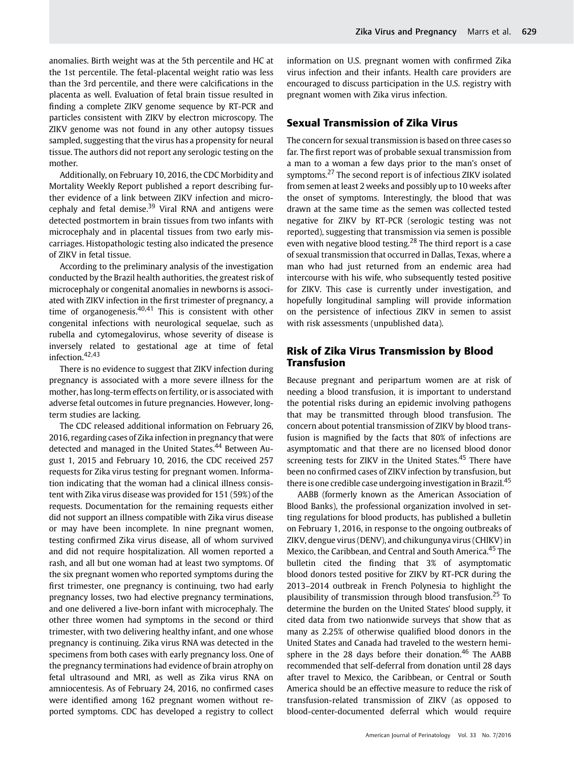anomalies. Birth weight was at the 5th percentile and HC at the 1st percentile. The fetal-placental weight ratio was less than the 3rd percentile, and there were calcifications in the placenta as well. Evaluation of fetal brain tissue resulted in finding a complete ZIKV genome sequence by RT-PCR and particles consistent with ZIKV by electron microscopy. The ZIKV genome was not found in any other autopsy tissues sampled, suggesting that the virus has a propensity for neural tissue. The authors did not report any serologic testing on the mother.

Additionally, on February 10, 2016, the CDC Morbidity and Mortality Weekly Report published a report describing further evidence of a link between ZIKV infection and microcephaly and fetal demise.<sup>39</sup> Viral RNA and antigens were detected postmortem in brain tissues from two infants with microcephaly and in placental tissues from two early miscarriages. Histopathologic testing also indicated the presence of ZIKV in fetal tissue.

According to the preliminary analysis of the investigation conducted by the Brazil health authorities, the greatest risk of microcephaly or congenital anomalies in newborns is associated with ZIKV infection in the first trimester of pregnancy, a time of organogenesis.<sup>40,41</sup> This is consistent with other congenital infections with neurological sequelae, such as rubella and cytomegalovirus, whose severity of disease is inversely related to gestational age at time of fetal infection.42,43

There is no evidence to suggest that ZIKV infection during pregnancy is associated with a more severe illness for the mother, has long-term effects on fertility, or is associated with adverse fetal outcomes in future pregnancies. However, longterm studies are lacking.

The CDC released additional information on February 26, 2016, regarding cases of Zika infection in pregnancy that were detected and managed in the United States.<sup>44</sup> Between August 1, 2015 and February 10, 2016, the CDC received 257 requests for Zika virus testing for pregnant women. Information indicating that the woman had a clinical illness consistent with Zika virus disease was provided for 151 (59%) of the requests. Documentation for the remaining requests either did not support an illness compatible with Zika virus disease or may have been incomplete. In nine pregnant women, testing confirmed Zika virus disease, all of whom survived and did not require hospitalization. All women reported a rash, and all but one woman had at least two symptoms. Of the six pregnant women who reported symptoms during the first trimester, one pregnancy is continuing, two had early pregnancy losses, two had elective pregnancy terminations, and one delivered a live-born infant with microcephaly. The other three women had symptoms in the second or third trimester, with two delivering healthy infant, and one whose pregnancy is continuing. Zika virus RNA was detected in the specimens from both cases with early pregnancy loss. One of the pregnancy terminations had evidence of brain atrophy on fetal ultrasound and MRI, as well as Zika virus RNA on amniocentesis. As of February 24, 2016, no confirmed cases were identified among 162 pregnant women without reported symptoms. CDC has developed a registry to collect information on U.S. pregnant women with confirmed Zika virus infection and their infants. Health care providers are encouraged to discuss participation in the U.S. registry with pregnant women with Zika virus infection.

# Sexual Transmission of Zika Virus

The concern for sexual transmission is based on three cases so far. The first report was of probable sexual transmission from a man to a woman a few days prior to the man's onset of symptoms.<sup>27</sup> The second report is of infectious ZIKV isolated from semen at least 2 weeks and possibly up to 10 weeks after the onset of symptoms. Interestingly, the blood that was drawn at the same time as the semen was collected tested negative for ZIKV by RT-PCR (serologic testing was not reported), suggesting that transmission via semen is possible even with negative blood testing.<sup>28</sup> The third report is a case of sexual transmission that occurred in Dallas, Texas, where a man who had just returned from an endemic area had intercourse with his wife, who subsequently tested positive for ZIKV. This case is currently under investigation, and hopefully longitudinal sampling will provide information on the persistence of infectious ZIKV in semen to assist with risk assessments (unpublished data).

# Risk of Zika Virus Transmission by Blood Transfusion

Because pregnant and peripartum women are at risk of needing a blood transfusion, it is important to understand the potential risks during an epidemic involving pathogens that may be transmitted through blood transfusion. The concern about potential transmission of ZIKV by blood transfusion is magnified by the facts that 80% of infections are asymptomatic and that there are no licensed blood donor screening tests for ZIKV in the United States.<sup>45</sup> There have been no confirmed cases of ZIKV infection by transfusion, but there is one credible case undergoing investigation in Brazil.<sup>45</sup>

AABB (formerly known as the American Association of Blood Banks), the professional organization involved in setting regulations for blood products, has published a bulletin on February 1, 2016, in response to the ongoing outbreaks of ZIKV, dengue virus (DENV), and chikungunya virus (CHIKV) in Mexico, the Caribbean, and Central and South America.<sup>45</sup> The bulletin cited the finding that 3% of asymptomatic blood donors tested positive for ZIKV by RT-PCR during the 2013–2014 outbreak in French Polynesia to highlight the plausibility of transmission through blood transfusion.<sup>25</sup> To determine the burden on the United States' blood supply, it cited data from two nationwide surveys that show that as many as 2.25% of otherwise qualified blood donors in the United States and Canada had traveled to the western hemisphere in the 28 days before their donation.<sup>46</sup> The AABB recommended that self-deferral from donation until 28 days after travel to Mexico, the Caribbean, or Central or South America should be an effective measure to reduce the risk of transfusion-related transmission of ZIKV (as opposed to blood-center-documented deferral which would require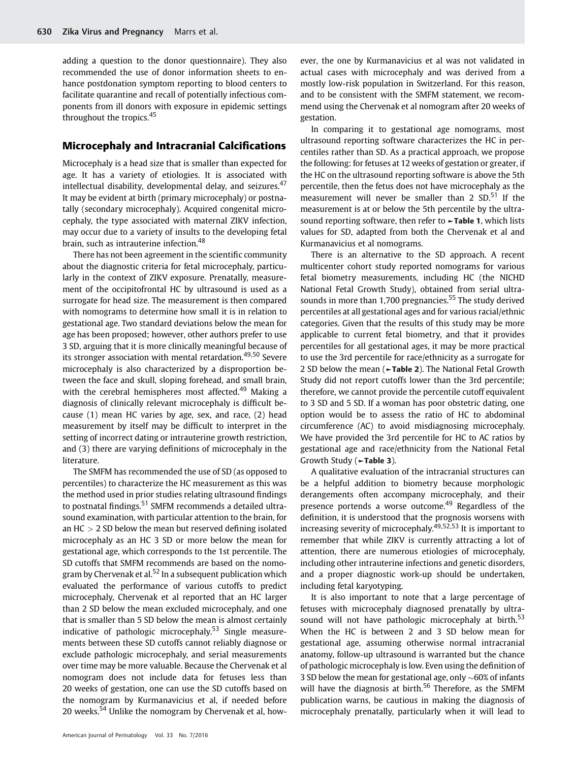adding a question to the donor questionnaire). They also recommended the use of donor information sheets to enhance postdonation symptom reporting to blood centers to facilitate quarantine and recall of potentially infectious components from ill donors with exposure in epidemic settings throughout the tropics.<sup>45</sup>

# Microcephaly and Intracranial Calcifications

Microcephaly is a head size that is smaller than expected for age. It has a variety of etiologies. It is associated with intellectual disability, developmental delay, and seizures. $47$ It may be evident at birth (primary microcephaly) or postnatally (secondary microcephaly). Acquired congenital microcephaly, the type associated with maternal ZIKV infection, may occur due to a variety of insults to the developing fetal brain, such as intrauterine infection.<sup>48</sup>

There has not been agreement in the scientific community about the diagnostic criteria for fetal microcephaly, particularly in the context of ZIKV exposure. Prenatally, measurement of the occipitofrontal HC by ultrasound is used as a surrogate for head size. The measurement is then compared with nomograms to determine how small it is in relation to gestational age. Two standard deviations below the mean for age has been proposed; however, other authors prefer to use 3 SD, arguing that it is more clinically meaningful because of its stronger association with mental retardation.<sup>49,50</sup> Severe microcephaly is also characterized by a disproportion between the face and skull, sloping forehead, and small brain, with the cerebral hemispheres most affected.<sup>49</sup> Making a diagnosis of clinically relevant microcephaly is difficult because (1) mean HC varies by age, sex, and race, (2) head measurement by itself may be difficult to interpret in the setting of incorrect dating or intrauterine growth restriction, and (3) there are varying definitions of microcephaly in the literature.

The SMFM has recommended the use of SD (as opposed to percentiles) to characterize the HC measurement as this was the method used in prior studies relating ultrasound findings to postnatal findings.<sup>51</sup> SMFM recommends a detailed ultrasound examination, with particular attention to the brain, for an  $HC > 2$  SD below the mean but reserved defining isolated microcephaly as an HC 3 SD or more below the mean for gestational age, which corresponds to the 1st percentile. The SD cutoffs that SMFM recommends are based on the nomogram by Chervenak et al.<sup>52</sup> In a subsequent publication which evaluated the performance of various cutoffs to predict microcephaly, Chervenak et al reported that an HC larger than 2 SD below the mean excluded microcephaly, and one that is smaller than 5 SD below the mean is almost certainly indicative of pathologic microcephaly.<sup>53</sup> Single measurements between these SD cutoffs cannot reliably diagnose or exclude pathologic microcephaly, and serial measurements over time may be more valuable. Because the Chervenak et al nomogram does not include data for fetuses less than 20 weeks of gestation, one can use the SD cutoffs based on the nomogram by Kurmanavicius et al, if needed before 20 weeks.<sup>54</sup> Unlike the nomogram by Chervenak et al, however, the one by Kurmanavicius et al was not validated in actual cases with microcephaly and was derived from a mostly low-risk population in Switzerland. For this reason, and to be consistent with the SMFM statement, we recommend using the Chervenak et al nomogram after 20 weeks of gestation.

In comparing it to gestational age nomograms, most ultrasound reporting software characterizes the HC in percentiles rather than SD. As a practical approach, we propose the following: for fetuses at 12 weeks of gestation or greater, if the HC on the ultrasound reporting software is above the 5th percentile, then the fetus does not have microcephaly as the measurement will never be smaller than 2  $SD.<sup>51</sup>$  If the measurement is at or below the 5th percentile by the ultrasound reporting software, then refer to ►Table 1, which lists values for SD, adapted from both the Chervenak et al and Kurmanavicius et al nomograms.

There is an alternative to the SD approach. A recent multicenter cohort study reported nomograms for various fetal biometry measurements, including HC (the NICHD National Fetal Growth Study), obtained from serial ultrasounds in more than 1,700 pregnancies.<sup>55</sup> The study derived percentiles at all gestational ages and for various racial/ethnic categories. Given that the results of this study may be more applicable to current fetal biometry, and that it provides percentiles for all gestational ages, it may be more practical to use the 3rd percentile for race/ethnicity as a surrogate for 2 SD below the mean (►Table 2). The National Fetal Growth Study did not report cutoffs lower than the 3rd percentile; therefore, we cannot provide the percentile cutoff equivalent to 3 SD and 5 SD. If a woman has poor obstetric dating, one option would be to assess the ratio of HC to abdominal circumference (AC) to avoid misdiagnosing microcephaly. We have provided the 3rd percentile for HC to AC ratios by gestational age and race/ethnicity from the National Fetal Growth Study (►Table 3).

A qualitative evaluation of the intracranial structures can be a helpful addition to biometry because morphologic derangements often accompany microcephaly, and their presence portends a worse outcome.<sup>49</sup> Regardless of the definition, it is understood that the prognosis worsens with increasing severity of microcephaly.<sup>49,52,53</sup> It is important to remember that while ZIKV is currently attracting a lot of attention, there are numerous etiologies of microcephaly, including other intrauterine infections and genetic disorders, and a proper diagnostic work-up should be undertaken, including fetal karyotyping.

It is also important to note that a large percentage of fetuses with microcephaly diagnosed prenatally by ultrasound will not have pathologic microcephaly at birth. $53$ When the HC is between 2 and 3 SD below mean for gestational age, assuming otherwise normal intracranial anatomy, follow-up ultrasound is warranted but the chance of pathologic microcephaly is low. Even using the definition of 3 SD below the mean for gestational age, only  $\sim$  60% of infants will have the diagnosis at birth. $56$  Therefore, as the SMFM publication warns, be cautious in making the diagnosis of microcephaly prenatally, particularly when it will lead to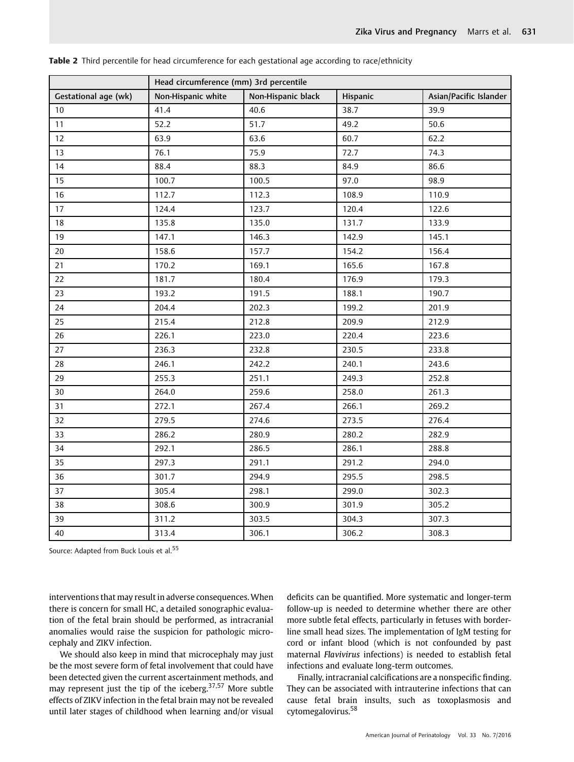| Head circumference (mm) 3rd percentile |                    |                    |          |                        |
|----------------------------------------|--------------------|--------------------|----------|------------------------|
| Gestational age (wk)                   | Non-Hispanic white | Non-Hispanic black | Hispanic | Asian/Pacific Islander |
| $10\,$                                 | 41.4               | 40.6               | 38.7     | 39.9                   |
| 11                                     | 52.2               | 51.7               | 49.2     | 50.6                   |
| 12                                     | 63.9               | 63.6               | 60.7     | 62.2                   |
| 13                                     | 76.1               | 75.9               | 72.7     | 74.3                   |
| 14                                     | 88.4               | 88.3               | 84.9     | 86.6                   |
| 15                                     | 100.7              | 100.5              | 97.0     | 98.9                   |
| 16                                     | 112.7              | 112.3              | 108.9    | 110.9                  |
| 17                                     | 124.4              | 123.7              | 120.4    | 122.6                  |
| $18\,$                                 | 135.8              | 135.0              | 131.7    | 133.9                  |
| 19                                     | 147.1              | 146.3              | 142.9    | 145.1                  |
| 20                                     | 158.6              | 157.7              | 154.2    | 156.4                  |
| 21                                     | 170.2              | 169.1              | 165.6    | 167.8                  |
| 22                                     | 181.7              | 180.4              | 176.9    | 179.3                  |
| 23                                     | 193.2              | 191.5              | 188.1    | 190.7                  |
| 24                                     | 204.4              | 202.3              | 199.2    | 201.9                  |
| 25                                     | 215.4              | 212.8              | 209.9    | 212.9                  |
| 26                                     | 226.1              | 223.0              | 220.4    | 223.6                  |
| 27                                     | 236.3              | 232.8              | 230.5    | 233.8                  |
| 28                                     | 246.1              | 242.2              | 240.1    | 243.6                  |
| 29                                     | 255.3              | 251.1              | 249.3    | 252.8                  |
| 30                                     | 264.0              | 259.6              | 258.0    | 261.3                  |
| 31                                     | 272.1              | 267.4              | 266.1    | 269.2                  |
| 32                                     | 279.5              | 274.6              | 273.5    | 276.4                  |
| 33                                     | 286.2              | 280.9              | 280.2    | 282.9                  |
| 34                                     | 292.1              | 286.5              | 286.1    | 288.8                  |
| 35                                     | 297.3              | 291.1              | 291.2    | 294.0                  |
| 36                                     | 301.7              | 294.9              | 295.5    | 298.5                  |
| 37                                     | 305.4              | 298.1              | 299.0    | 302.3                  |
| 38                                     | 308.6              | 300.9              | 301.9    | 305.2                  |
| 39                                     | 311.2              | 303.5              | 304.3    | 307.3                  |
| 40                                     | 313.4              | 306.1              | 306.2    | 308.3                  |

|  | Table 2 Third percentile for head circumference for each gestational age according to race/ethnicity |  |  |
|--|------------------------------------------------------------------------------------------------------|--|--|
|  |                                                                                                      |  |  |

Source: Adapted from Buck Louis et al.<sup>55</sup>

interventions that may result in adverse consequences. When there is concern for small HC, a detailed sonographic evaluation of the fetal brain should be performed, as intracranial anomalies would raise the suspicion for pathologic microcephaly and ZIKV infection.

We should also keep in mind that microcephaly may just be the most severe form of fetal involvement that could have been detected given the current ascertainment methods, and may represent just the tip of the iceberg.<sup>37,57</sup> More subtle effects of ZIKV infection in the fetal brain may not be revealed until later stages of childhood when learning and/or visual deficits can be quantified. More systematic and longer-term follow-up is needed to determine whether there are other more subtle fetal effects, particularly in fetuses with borderline small head sizes. The implementation of IgM testing for cord or infant blood (which is not confounded by past maternal Flavivirus infections) is needed to establish fetal infections and evaluate long-term outcomes.

Finally, intracranial calcifications are a nonspecific finding. They can be associated with intrauterine infections that can cause fetal brain insults, such as toxoplasmosis and cytomegalovirus.<sup>58</sup>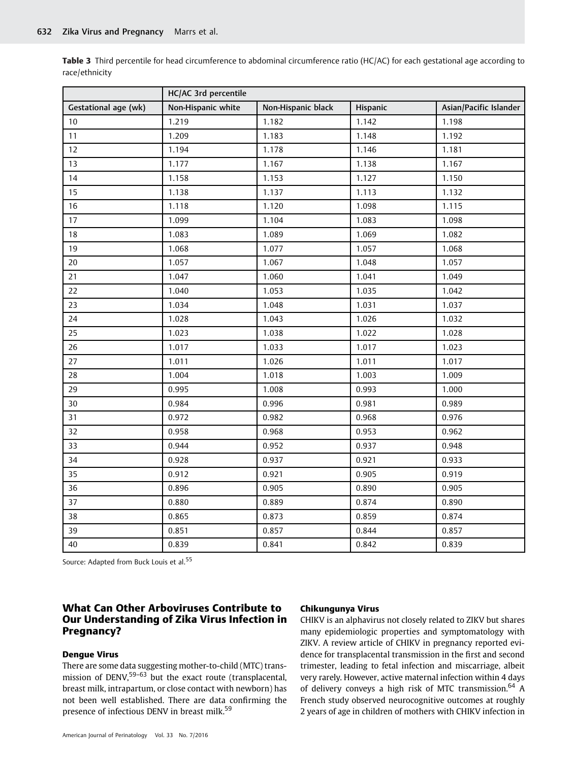Table 3 Third percentile for head circumference to abdominal circumference ratio (HC/AC) for each gestational age according to race/ethnicity

|                      | HC/AC 3rd percentile             |                    |          |                        |
|----------------------|----------------------------------|--------------------|----------|------------------------|
| Gestational age (wk) | Non-Hispanic white               | Non-Hispanic black | Hispanic | Asian/Pacific Islander |
| 10                   | 1.219                            | 1.182              | 1.142    | 1.198                  |
| 11                   | 1.209                            | 1.183              | 1.148    | 1.192                  |
| 12                   | 1.194                            | 1.178              | 1.146    | 1.181                  |
| 13                   | 1.177                            | 1.167              | 1.138    | 1.167                  |
| $14$                 | 1.158                            | 1.153              | 1.127    | 1.150                  |
| 15                   | 1.138                            | 1.137              | 1.113    | 1.132                  |
| 16                   | 1.118                            | 1.120              | 1.098    | 1.115                  |
| 17                   | 1.099                            | 1.104              | 1.083    | 1.098                  |
| 18                   | 1.083                            | 1.089              | 1.069    | 1.082                  |
| 19                   | 1.068                            | 1.077              | 1.057    | 1.068                  |
| 20                   | 1.057                            | 1.067              | 1.048    | 1.057                  |
| 21                   | 1.047<br>1.060<br>1.041<br>1.049 |                    |          |                        |
| 22                   | 1.040<br>1.053<br>1.035          |                    | 1.042    |                        |
| 23                   | 1.034                            | 1.048              | 1.031    | 1.037                  |
| 24                   | 1.028                            | 1.043              | 1.026    | 1.032                  |
| 25                   | 1.023                            | 1.038              | 1.022    | 1.028                  |
| 26                   | 1.017                            | 1.033              | 1.017    | 1.023                  |
| 27                   | 1.011                            | 1.026              | 1.011    | 1.017                  |
| 28                   | 1.004                            | 1.018              | 1.003    | 1.009                  |
| 29                   | 0.995                            | 1.008              | 0.993    | 1.000                  |
| 30                   | 0.984                            | 0.996              | 0.981    | 0.989                  |
| 31                   | 0.972                            | 0.982              | 0.968    | 0.976                  |
| 32                   | 0.958                            | 0.968              | 0.953    | 0.962                  |
| 33                   | 0.944                            | 0.952              | 0.937    | 0.948                  |
| 34                   | 0.928                            | 0.937              | 0.921    | 0.933                  |
| 35                   | 0.912                            | 0.921              | 0.905    | 0.919                  |
| 36                   | 0.896                            | 0.905              | 0.890    | 0.905                  |
| 37                   | 0.880                            | 0.889              | 0.874    | 0.890                  |
| 38                   | 0.865                            | 0.873              | 0.859    | 0.874                  |
| 39                   | 0.851                            | 0.857              | 0.844    | 0.857                  |
| 40                   | 0.839                            | 0.841              | 0.842    | 0.839                  |

Source: Adapted from Buck Louis et al.<sup>55</sup>

# What Can Other Arboviruses Contribute to Our Understanding of Zika Virus Infection in Pregnancy?

#### Dengue Virus

There are some data suggesting mother-to-child (MTC) transmission of DENV,<sup>59–63</sup> but the exact route (transplacental, breast milk, intrapartum, or close contact with newborn) has not been well established. There are data confirming the presence of infectious DENV in breast milk.<sup>59</sup>

#### Chikungunya Virus

CHIKV is an alphavirus not closely related to ZIKV but shares many epidemiologic properties and symptomatology with ZIKV. A review article of CHIKV in pregnancy reported evidence for transplacental transmission in the first and second trimester, leading to fetal infection and miscarriage, albeit very rarely. However, active maternal infection within 4 days of delivery conveys a high risk of MTC transmission.<sup>64</sup> A French study observed neurocognitive outcomes at roughly 2 years of age in children of mothers with CHIKV infection in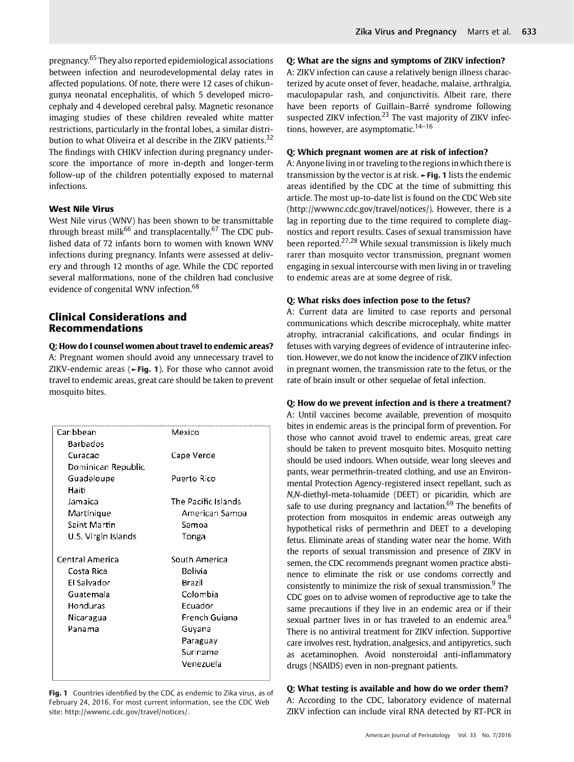pregnancy.<sup>65</sup> They also reported epidemiological associations between infection and neurodevelopmental delay rates in affected populations. Of note, there were 12 cases of chikungunya neonatal encephalitis, of which 5 developed microcephaly and 4 developed cerebral palsy. Magnetic resonance imaging studies of these children revealed white matter restrictions, particularly in the frontal lobes, a similar distribution to what Oliveira et al describe in the ZIKV patients.<sup>32</sup> The findings with CHIKV infection during pregnancy underscore the importance of more in-depth and longer-term follow-up of the children potentially exposed to maternal infections.

#### West Nile Virus

West Nile virus (WNV) has been shown to be transmittable through breast milk<sup>66</sup> and transplacentally.<sup>67</sup> The CDC published data of 72 infants born to women with known WNV infections during pregnancy. Infants were assessed at delivery and through 12 months of age. While the CDC reported several malformations, none of the children had conclusive evidence of congenital WNV infection.<sup>68</sup>

# Clinical Considerations and Recommendations

#### Q: How do I counsel women about travel to endemic areas?

A: Pregnant women should avoid any unnecessary travel to ZIKV-endemic areas ( $\blacktriangleright$ Fig. 1). For those who cannot avoid travel to endemic areas, great care should be taken to prevent mosquito bites.

| Caribbean           | Mexico              |
|---------------------|---------------------|
| Barbados            |                     |
| Curacao             | Cape Verde          |
| Dominican Republic  |                     |
| Guadeloupe          | Puerto Rico         |
| Haiti               |                     |
| Jamaica             | The Pacific Islands |
| Martinique          | American Samoa      |
| Saint Martin        | Samoa               |
| U.S. Virgin Islands | Tonga               |
|                     |                     |
| Central America     | South America       |
| Costa Rica          | Bolivia             |
| El Salvador         | Brazil              |
| Guatemala           | Colombia            |
| Honduras            | Ecuador             |
| Nicaragua           | French Guiana       |
| Panama              | Guyana              |
|                     | Paraguay            |
|                     | Suriname            |
|                     | Venezuela           |
|                     |                     |

Fig. 1 Countries identified by the CDC as endemic to Zika virus, as of February 24, 2016. For most current information, see the CDC Web site:<http://wwwnc.cdc.gov/travel/notices/>.

Q: What are the signs and symptoms of ZIKV infection?

A: ZIKV infection can cause a relatively benign illness characterized by acute onset of fever, headache, malaise, arthralgia, maculopapular rash, and conjunctivitis. Albeit rare, there have been reports of Guillain–Barré syndrome following suspected ZIKV infection. $23$  The vast majority of ZIKV infections, however, are asymptomatic.<sup>14–16</sup>

#### Q: Which pregnant women are at risk of infection?

A: Anyone living in or traveling to the regions in which there is transmission by the vector is at risk.  $\blacktriangleright$  Fig. 1 lists the endemic areas identified by the CDC at the time of submitting this article. The most up-to-date list is found on the CDC Web site ([http://wwwnc.cdc.gov/travel/notices/\)](http://wwwnc.cdc.gov/travel/notices/). However, there is a lag in reporting due to the time required to complete diagnostics and report results. Cases of sexual transmission have been reported.<sup>27,28</sup> While sexual transmission is likely much rarer than mosquito vector transmission, pregnant women engaging in sexual intercourse with men living in or traveling to endemic areas are at some degree of risk.

#### Q: What risks does infection pose to the fetus?

A: Current data are limited to case reports and personal communications which describe microcephaly, white matter atrophy, intracranial calcifications, and ocular findings in fetuses with varying degrees of evidence of intrauterine infection. However, we do not know the incidence of ZIKV infection in pregnant women, the transmission rate to the fetus, or the rate of brain insult or other sequelae of fetal infection.

#### Q: How do we prevent infection and is there a treatment?

A: Until vaccines become available, prevention of mosquito bites in endemic areas is the principal form of prevention. For those who cannot avoid travel to endemic areas, great care should be taken to prevent mosquito bites. Mosquito netting should be used indoors. When outside, wear long sleeves and pants, wear permethrin-treated clothing, and use an Environmental Protection Agency-registered insect repellant, such as N,N-diethyl-meta-toluamide (DEET) or picaridin, which are safe to use during pregnancy and lactation.<sup>69</sup> The benefits of protection from mosquitos in endemic areas outweigh any hypothetical risks of permethrin and DEET to a developing fetus. Eliminate areas of standing water near the home. With the reports of sexual transmission and presence of ZIKV in semen, the CDC recommends pregnant women practice abstinence to eliminate the risk or use condoms correctly and consistently to minimize the risk of sexual transmission.<sup>9</sup> The CDC goes on to advise women of reproductive age to take the same precautions if they live in an endemic area or if their sexual partner lives in or has traveled to an endemic area.<sup>9</sup> There is no antiviral treatment for ZIKV infection. Supportive care involves rest, hydration, analgesics, and antipyretics, such as acetaminophen. Avoid nonsteroidal anti-inflammatory drugs (NSAIDS) even in non-pregnant patients.

# Q: What testing is available and how do we order them? A: According to the CDC, laboratory evidence of maternal ZIKV infection can include viral RNA detected by RT-PCR in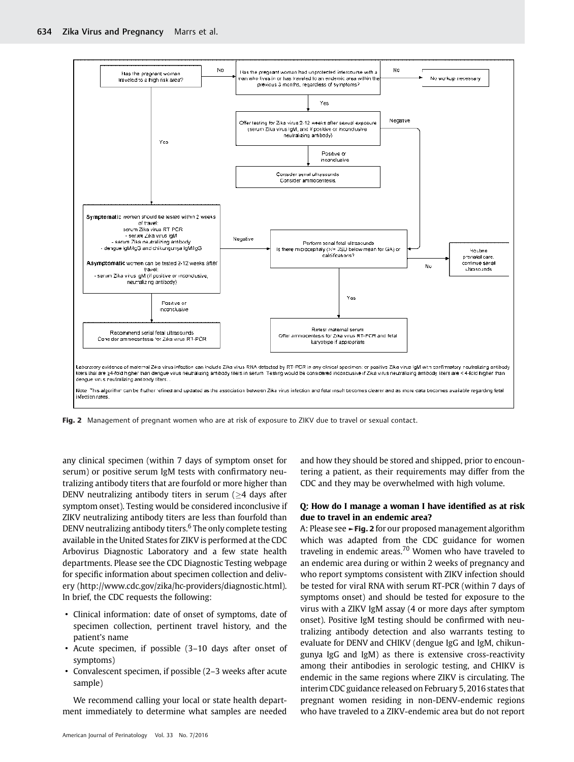

Fig. 2 Management of pregnant women who are at risk of exposure to ZIKV due to travel or sexual contact.

any clinical specimen (within 7 days of symptom onset for serum) or positive serum IgM tests with confirmatory neutralizing antibody titers that are fourfold or more higher than DENV neutralizing antibody titers in serum  $($ >4 days after symptom onset). Testing would be considered inconclusive if ZIKV neutralizing antibody titers are less than fourfold than DENV neutralizing antibody titers.<sup>6</sup> The only complete testing available in the United States for ZIKV is performed at the CDC Arbovirus Diagnostic Laboratory and a few state health departments. Please see the CDC Diagnostic Testing webpage for specific information about specimen collection and delivery [\(http://www.cdc.gov/zika/hc-providers/diagnostic.html](http://www.cdc.gov/zika/hc-providers/diagnostic.html)). In brief, the CDC requests the following:

- Clinical information: date of onset of symptoms, date of specimen collection, pertinent travel history, and the patient's name
- Acute specimen, if possible (3–10 days after onset of symptoms)
- Convalescent specimen, if possible (2–3 weeks after acute sample)

We recommend calling your local or state health department immediately to determine what samples are needed and how they should be stored and shipped, prior to encountering a patient, as their requirements may differ from the CDC and they may be overwhelmed with high volume.

#### Q: How do I manage a woman I have identified as at risk due to travel in an endemic area?

A: Please see ►Fig. 2 for our proposed management algorithm which was adapted from the CDC guidance for women traveling in endemic areas.<sup>70</sup> Women who have traveled to an endemic area during or within 2 weeks of pregnancy and who report symptoms consistent with ZIKV infection should be tested for viral RNA with serum RT-PCR (within 7 days of symptoms onset) and should be tested for exposure to the virus with a ZIKV IgM assay (4 or more days after symptom onset). Positive IgM testing should be confirmed with neutralizing antibody detection and also warrants testing to evaluate for DENV and CHIKV (dengue IgG and IgM, chikungunya IgG and IgM) as there is extensive cross-reactivity among their antibodies in serologic testing, and CHIKV is endemic in the same regions where ZIKV is circulating. The interim CDC guidance released on February 5, 2016 states that pregnant women residing in non-DENV-endemic regions who have traveled to a ZIKV-endemic area but do not report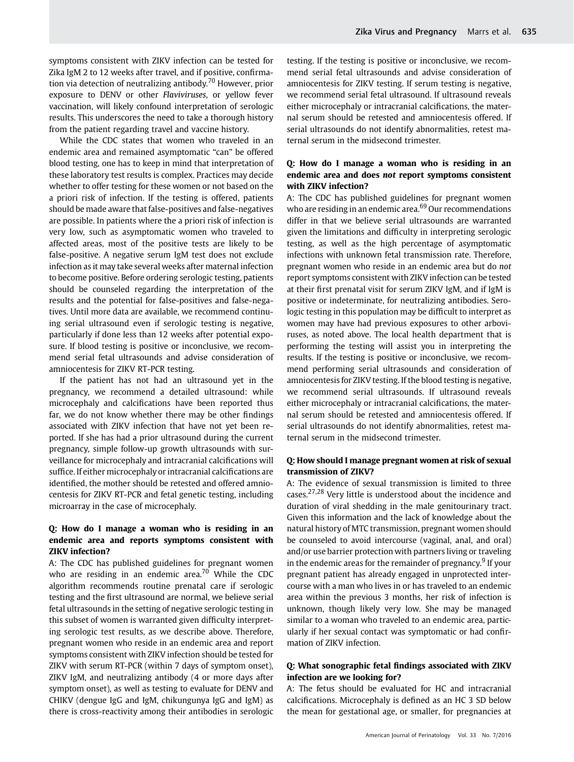symptoms consistent with ZIKV infection can be tested for Zika IgM 2 to 12 weeks after travel, and if positive, confirmation via detection of neutralizing antibody.<sup>70</sup> However, prior exposure to DENV or other Flaviviruses, or yellow fever vaccination, will likely confound interpretation of serologic results. This underscores the need to take a thorough history from the patient regarding travel and vaccine history.

While the CDC states that women who traveled in an endemic area and remained asymptomatic "can" be offered blood testing, one has to keep in mind that interpretation of these laboratory test results is complex. Practices may decide whether to offer testing for these women or not based on the a priori risk of infection. If the testing is offered, patients should be made aware that false-positives and false-negatives are possible. In patients where the a priori risk of infection is very low, such as asymptomatic women who traveled to affected areas, most of the positive tests are likely to be false-positive. A negative serum IgM test does not exclude infection as it may take several weeks after maternal infection to become positive. Before ordering serologic testing, patients should be counseled regarding the interpretation of the results and the potential for false-positives and false-negatives. Until more data are available, we recommend continuing serial ultrasound even if serologic testing is negative, particularly if done less than 12 weeks after potential exposure. If blood testing is positive or inconclusive, we recommend serial fetal ultrasounds and advise consideration of amniocentesis for ZIKV RT-PCR testing.

If the patient has not had an ultrasound yet in the pregnancy, we recommend a detailed ultrasound: while microcephaly and calcifications have been reported thus far, we do not know whether there may be other findings associated with ZIKV infection that have not yet been reported. If she has had a prior ultrasound during the current pregnancy, simple follow-up growth ultrasounds with surveillance for microcephaly and intracranial calcifications will suffice. If either microcephaly or intracranial calcifications are identified, the mother should be retested and offered amniocentesis for ZIKV RT-PCR and fetal genetic testing, including microarray in the case of microcephaly.

# Q: How do I manage a woman who is residing in an endemic area and reports symptoms consistent with ZIKV infection?

A: The CDC has published guidelines for pregnant women who are residing in an endemic area.<sup>70</sup> While the CDC algorithm recommends routine prenatal care if serologic testing and the first ultrasound are normal, we believe serial fetal ultrasounds in the setting of negative serologic testing in this subset of women is warranted given difficulty interpreting serologic test results, as we describe above. Therefore, pregnant women who reside in an endemic area and report symptoms consistent with ZIKV infection should be tested for ZIKV with serum RT-PCR (within 7 days of symptom onset), ZIKV IgM, and neutralizing antibody (4 or more days after symptom onset), as well as testing to evaluate for DENV and CHIKV (dengue IgG and IgM, chikungunya IgG and IgM) as there is cross-reactivity among their antibodies in serologic testing. If the testing is positive or inconclusive, we recommend serial fetal ultrasounds and advise consideration of amniocentesis for ZIKV testing. If serum testing is negative, we recommend serial fetal ultrasound. If ultrasound reveals either microcephaly or intracranial calcifications, the maternal serum should be retested and amniocentesis offered. If serial ultrasounds do not identify abnormalities, retest maternal serum in the midsecond trimester.

# Q: How do I manage a woman who is residing in an endemic area and does not report symptoms consistent with ZIKV infection?

A: The CDC has published guidelines for pregnant women who are residing in an endemic area.<sup>69</sup> Our recommendations differ in that we believe serial ultrasounds are warranted given the limitations and difficulty in interpreting serologic testing, as well as the high percentage of asymptomatic infections with unknown fetal transmission rate. Therefore, pregnant women who reside in an endemic area but do not report symptoms consistent with ZIKV infection can be tested at their first prenatal visit for serum ZIKV IgM, and if IgM is positive or indeterminate, for neutralizing antibodies. Serologic testing in this population may be difficult to interpret as women may have had previous exposures to other arboviruses, as noted above. The local health department that is performing the testing will assist you in interpreting the results. If the testing is positive or inconclusive, we recommend performing serial ultrasounds and consideration of amniocentesis for ZIKV testing. If the blood testing is negative, we recommend serial ultrasounds. If ultrasound reveals either microcephaly or intracranial calcifications, the maternal serum should be retested and amniocentesis offered. If serial ultrasounds do not identify abnormalities, retest maternal serum in the midsecond trimester.

# Q: How should I manage pregnant women at risk of sexual transmission of ZIKV?

A: The evidence of sexual transmission is limited to three cases.27,28 Very little is understood about the incidence and duration of viral shedding in the male genitourinary tract. Given this information and the lack of knowledge about the natural history of MTC transmission, pregnant women should be counseled to avoid intercourse (vaginal, anal, and oral) and/or use barrier protection with partners living or traveling in the endemic areas for the remainder of pregnancy.<sup>9</sup> If your pregnant patient has already engaged in unprotected intercourse with a man who lives in or has traveled to an endemic area within the previous 3 months, her risk of infection is unknown, though likely very low. She may be managed similar to a woman who traveled to an endemic area, particularly if her sexual contact was symptomatic or had confirmation of ZIKV infection.

### Q: What sonographic fetal findings associated with ZIKV infection are we looking for?

A: The fetus should be evaluated for HC and intracranial calcifications. Microcephaly is defined as an HC 3 SD below the mean for gestational age, or smaller, for pregnancies at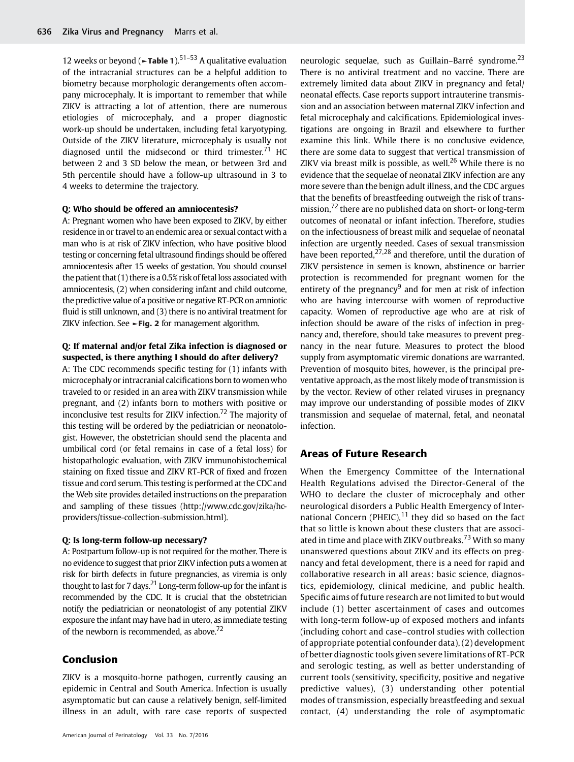12 weeks or beyond ( $\sim$ Table 1).<sup>51–53</sup> A qualitative evaluation of the intracranial structures can be a helpful addition to biometry because morphologic derangements often accompany microcephaly. It is important to remember that while ZIKV is attracting a lot of attention, there are numerous etiologies of microcephaly, and a proper diagnostic work-up should be undertaken, including fetal karyotyping. Outside of the ZIKV literature, microcephaly is usually not diagnosed until the midsecond or third trimester.<sup>71</sup> HC between 2 and 3 SD below the mean, or between 3rd and 5th percentile should have a follow-up ultrasound in 3 to 4 weeks to determine the trajectory.

#### Q: Who should be offered an amniocentesis?

A: Pregnant women who have been exposed to ZIKV, by either residence in or travel to an endemic area or sexual contact with a man who is at risk of ZIKV infection, who have positive blood testing or concerning fetal ultrasound findings should be offered amniocentesis after 15 weeks of gestation. You should counsel the patient that (1) there is a 0.5% risk of fetal loss associated with amniocentesis, (2) when considering infant and child outcome, the predictive value of a positive or negative RT-PCR on amniotic fluid is still unknown, and (3) there is no antiviral treatment for ZIKV infection. See ►Fig. 2 for management algorithm.

#### Q: If maternal and/or fetal Zika infection is diagnosed or suspected, is there anything I should do after delivery?

A: The CDC recommends specific testing for (1) infants with microcephaly or intracranial calcifications born to womenwho traveled to or resided in an area with ZIKV transmission while pregnant, and (2) infants born to mothers with positive or inconclusive test results for ZIKV infection.<sup>72</sup> The majority of this testing will be ordered by the pediatrician or neonatologist. However, the obstetrician should send the placenta and umbilical cord (or fetal remains in case of a fetal loss) for histopathologic evaluation, with ZIKV immunohistochemical staining on fixed tissue and ZIKV RT-PCR of fixed and frozen tissue and cord serum. This testing is performed at the CDC and the Web site provides detailed instructions on the preparation and sampling of these tissues ([http://www.cdc.gov/zika/hc](http://www.cdc.gov/zika/hc-providers/tissue-collection-submission.html)[providers/tissue-collection-submission.html\)](http://www.cdc.gov/zika/hc-providers/tissue-collection-submission.html).

#### Q: Is long-term follow-up necessary?

A: Postpartum follow-up is not required for the mother. There is no evidence to suggest that prior ZIKV infection puts a women at risk for birth defects in future pregnancies, as viremia is only thought to last for 7 days.<sup>21</sup> Long-term follow-up for the infant is recommended by the CDC. It is crucial that the obstetrician notify the pediatrician or neonatologist of any potential ZIKV exposure the infant may have had in utero, as immediate testing of the newborn is recommended, as above.<sup>72</sup>

### Conclusion

ZIKV is a mosquito-borne pathogen, currently causing an epidemic in Central and South America. Infection is usually asymptomatic but can cause a relatively benign, self-limited illness in an adult, with rare case reports of suspected

neurologic sequelae, such as Guillain-Barré syndrome.<sup>23</sup> There is no antiviral treatment and no vaccine. There are extremely limited data about ZIKV in pregnancy and fetal/ neonatal effects. Case reports support intrauterine transmission and an association between maternal ZIKV infection and fetal microcephaly and calcifications. Epidemiological investigations are ongoing in Brazil and elsewhere to further examine this link. While there is no conclusive evidence, there are some data to suggest that vertical transmission of ZIKV via breast milk is possible, as well.<sup>26</sup> While there is no evidence that the sequelae of neonatal ZIKV infection are any more severe than the benign adult illness, and the CDC argues that the benefits of breastfeeding outweigh the risk of transmission, $^{72}$  there are no published data on short- or long-term outcomes of neonatal or infant infection. Therefore, studies on the infectiousness of breast milk and sequelae of neonatal infection are urgently needed. Cases of sexual transmission have been reported,<sup>27,28</sup> and therefore, until the duration of ZIKV persistence in semen is known, abstinence or barrier protection is recommended for pregnant women for the entirety of the pregnancy<sup>9</sup> and for men at risk of infection who are having intercourse with women of reproductive capacity. Women of reproductive age who are at risk of infection should be aware of the risks of infection in pregnancy and, therefore, should take measures to prevent pregnancy in the near future. Measures to protect the blood supply from asymptomatic viremic donations are warranted. Prevention of mosquito bites, however, is the principal preventative approach, as the most likely mode of transmission is by the vector. Review of other related viruses in pregnancy may improve our understanding of possible modes of ZIKV transmission and sequelae of maternal, fetal, and neonatal infection.

#### Areas of Future Research

When the Emergency Committee of the International Health Regulations advised the Director-General of the WHO to declare the cluster of microcephaly and other neurological disorders a Public Health Emergency of International Concern (PHEIC), $<sup>11</sup>$  they did so based on the fact</sup> that so little is known about these clusters that are associated in time and place with ZIKV outbreaks.<sup>73</sup> With so many unanswered questions about ZIKV and its effects on pregnancy and fetal development, there is a need for rapid and collaborative research in all areas: basic science, diagnostics, epidemiology, clinical medicine, and public health. Specific aims of future research are not limited to but would include (1) better ascertainment of cases and outcomes with long-term follow-up of exposed mothers and infants (including cohort and case–control studies with collection of appropriate potential confounder data), (2) development of better diagnostic tools given severe limitations of RT-PCR and serologic testing, as well as better understanding of current tools (sensitivity, specificity, positive and negative predictive values), (3) understanding other potential modes of transmission, especially breastfeeding and sexual contact, (4) understanding the role of asymptomatic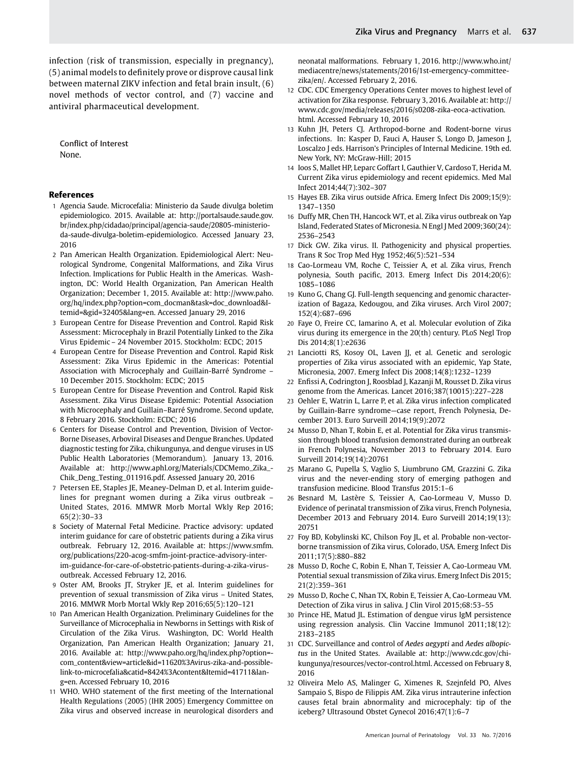infection (risk of transmission, especially in pregnancy), (5) animal models to definitely prove or disprove causal link between maternal ZIKV infection and fetal brain insult, (6) novel methods of vector control, and (7) vaccine and antiviral pharmaceutical development.

Conflict of Interest None.

#### References

- 1 Agencia Saude. Microcefalia: Ministerio da Saude divulga boletim epidemiologico. 2015. Available at: [http://portalsaude.saude.gov.](http://portalsaude.saude.gov.br/index.php/cidadao/principal/agencia-saude/20805-ministerio-da-saude-divulga-boletim-epidemiologico) [br/index.php/cidadao/principal/agencia-saude/20805-ministerio](http://portalsaude.saude.gov.br/index.php/cidadao/principal/agencia-saude/20805-ministerio-da-saude-divulga-boletim-epidemiologico)[da-saude-divulga-boletim-epidemiologico](http://portalsaude.saude.gov.br/index.php/cidadao/principal/agencia-saude/20805-ministerio-da-saude-divulga-boletim-epidemiologico). Accessed January 23, 2016
- 2 Pan American Health Organization. Epidemiological Alert: Neurological Syndrome, Congenital Malformations, and Zika Virus Infection. Implications for Public Health in the Americas. Washington, DC: World Health Organization, Pan American Health Organization; December 1, 2015. Available at: [http://www.paho.](http://www.paho.org/hq/index.php&x003F;option=com_docman&x0026;task=doc_download&x0026;Itemid=&x0026;gid=32405&x0026;lang=en) [org/hq/index.php?option=com\\_docman&task=doc\\_download&I](http://www.paho.org/hq/index.php&x003F;option=com_docman&x0026;task=doc_download&x0026;Itemid=&x0026;gid=32405&x0026;lang=en)[temid=&gid=32405&lang=en.](http://www.paho.org/hq/index.php&x003F;option=com_docman&x0026;task=doc_download&x0026;Itemid=&x0026;gid=32405&x0026;lang=en) Accessed January 29, 2016
- 3 European Centre for Disease Prevention and Control. Rapid Risk Assessment: Microcephaly in Brazil Potentially Linked to the Zika Virus Epidemic – 24 November 2015. Stockholm: ECDC; 2015
- 4 European Centre for Disease Prevention and Control. Rapid Risk Assessment: Zika Virus Epidemic in the Americas: Potential Association with Microcephaly and Guillain-Barré Syndrome – 10 December 2015. Stockholm: ECDC; 2015
- 5 European Centre for Disease Prevention and Control. Rapid Risk Assessment. Zika Virus Disease Epidemic: Potential Association with Microcephaly and Guillain–Barré Syndrome. Second update, 8 February 2016. Stockholm: ECDC; 2016
- 6 Centers for Disease Control and Prevention, Division of Vector-Borne Diseases, Arboviral Diseases and Dengue Branches. Updated diagnostic testing for Zika, chikungunya, and dengue viruses in US Public Health Laboratories (Memorandum). January 13, 2016. Available at: [http://www.aphl.org/Materials/CDCMemo\\_Zika\\_-](http://www.aphl.org/Materials/CDCMemo_Zika_Chik_Deng_Testing_011916.pdf) [Chik\\_Deng\\_Testing\\_011916.pdf](http://www.aphl.org/Materials/CDCMemo_Zika_Chik_Deng_Testing_011916.pdf). Assessed January 20, 2016
- 7 Petersen EE, Staples JE, Meaney-Delman D, et al. Interim guidelines for pregnant women during a Zika virus outbreak – United States, 2016. MMWR Morb Mortal Wkly Rep 2016; 65(2):30–33
- 8 Society of Maternal Fetal Medicine. Practice advisory: updated interim guidance for care of obstetric patients during a Zika virus outbreak. February 12, 2016. Available at: [https://www.smfm.](https://www.smfm.org/publications/220-acog-smfm-joint-practice-advisory-interim-guidance-for-care-of-obstetric-patients-during-a-zika-virus-outbreak) [org/publications/220-acog-smfm-joint-practice-advisory-inter](https://www.smfm.org/publications/220-acog-smfm-joint-practice-advisory-interim-guidance-for-care-of-obstetric-patients-during-a-zika-virus-outbreak)[im-guidance-for-care-of-obstetric-patients-during-a-zika-virus](https://www.smfm.org/publications/220-acog-smfm-joint-practice-advisory-interim-guidance-for-care-of-obstetric-patients-during-a-zika-virus-outbreak)[outbreak](https://www.smfm.org/publications/220-acog-smfm-joint-practice-advisory-interim-guidance-for-care-of-obstetric-patients-during-a-zika-virus-outbreak). Accessed February 12, 2016.
- 9 Oster AM, Brooks JT, Stryker JE, et al. Interim guidelines for prevention of sexual transmission of Zika virus – United States, 2016. MMWR Morb Mortal Wkly Rep 2016;65(5):120–121
- 10 Pan American Health Organization. Preliminary Guidelines for the Surveillance of Microcephalia in Newborns in Settings with Risk of Circulation of the Zika Virus. Washington, DC: World Health Organization, Pan American Health Organization; January 21, 2016. Available at: [http://www.paho.org/hq/index.php?option=](http://www.paho.org/hq/index.php&x003F;option=com_content&x0026;view=article&x0026;id=11620&x0025;3Avirus-zika-and-possible-link-to-microcefalia&x0026;catid=8424&x0025;3Acontent&x0026;Itemid=41711&x0026;lang=en) [com\\_content&view=article&id=11620%3Avirus-zika-and-possible](http://www.paho.org/hq/index.php&x003F;option=com_content&x0026;view=article&x0026;id=11620&x0025;3Avirus-zika-and-possible-link-to-microcefalia&x0026;catid=8424&x0025;3Acontent&x0026;Itemid=41711&x0026;lang=en)[link-to-microcefalia&catid=8424%3Acontent&Itemid=41711&lan](http://www.paho.org/hq/index.php&x003F;option=com_content&x0026;view=article&x0026;id=11620&x0025;3Avirus-zika-and-possible-link-to-microcefalia&x0026;catid=8424&x0025;3Acontent&x0026;Itemid=41711&x0026;lang=en)[g=en.](http://www.paho.org/hq/index.php&x003F;option=com_content&x0026;view=article&x0026;id=11620&x0025;3Avirus-zika-and-possible-link-to-microcefalia&x0026;catid=8424&x0025;3Acontent&x0026;Itemid=41711&x0026;lang=en) Accessed February 10, 2016
- 11 WHO. WHO statement of the first meeting of the International Health Regulations (2005) (IHR 2005) Emergency Committee on Zika virus and observed increase in neurological disorders and

neonatal malformations. February 1, 2016. [http://www.who.int/](http://www.who.int/mediacentre/news/statements/2016/1st-emergency-committee-zika/en/) [mediacentre/news/statements/2016/1st-emergency-committee](http://www.who.int/mediacentre/news/statements/2016/1st-emergency-committee-zika/en/)[zika/en/.](http://www.who.int/mediacentre/news/statements/2016/1st-emergency-committee-zika/en/) Accessed February 2, 2016.

- 12 CDC. CDC Emergency Operations Center moves to highest level of activation for Zika response. February 3, 2016. Available at: [http://](http://www.cdc.gov/media/releases/2016/s0208-zika-eoca-activation.html) [www.cdc.gov/media/releases/2016/s0208-zika-eoca-activation.](http://www.cdc.gov/media/releases/2016/s0208-zika-eoca-activation.html) [html.](http://www.cdc.gov/media/releases/2016/s0208-zika-eoca-activation.html) Accessed February 10, 2016
- 13 Kuhn JH, Peters CJ. Arthropod-borne and Rodent-borne virus infections. In: Kasper D, Fauci A, Hauser S, Longo D, Jameson J, Loscalzo J eds. Harrison's Principles of Internal Medicine. 19th ed. New York, NY: McGraw-Hill; 2015
- 14 Ioos S, Mallet HP, Leparc Goffart I, Gauthier V, Cardoso T, Herida M. Current Zika virus epidemiology and recent epidemics. Med Mal Infect 2014;44(7):302–307
- 15 Hayes EB. Zika virus outside Africa. Emerg Infect Dis 2009;15(9): 1347–1350
- 16 Duffy MR, Chen TH, Hancock WT, et al. Zika virus outbreak on Yap Island, Federated States of Micronesia. N Engl J Med 2009;360(24): 2536–2543
- 17 Dick GW. Zika virus. II. Pathogenicity and physical properties. Trans R Soc Trop Med Hyg 1952;46(5):521–534
- 18 Cao-Lormeau VM, Roche C, Teissier A, et al. Zika virus, French polynesia, South pacific, 2013. Emerg Infect Dis 2014;20(6): 1085–1086
- 19 Kuno G, Chang GJ. Full-length sequencing and genomic characterization of Bagaza, Kedougou, and Zika viruses. Arch Virol 2007; 152(4):687–696
- 20 Faye O, Freire CC, Iamarino A, et al. Molecular evolution of Zika virus during its emergence in the 20(th) century. PLoS Negl Trop Dis 2014;8(1):e2636
- 21 Lanciotti RS, Kosoy OL, Laven JJ, et al. Genetic and serologic properties of Zika virus associated with an epidemic, Yap State, Micronesia, 2007. Emerg Infect Dis 2008;14(8):1232–1239
- 22 Enfissi A, Codrington J, Roosblad J, Kazanji M, Rousset D. Zika virus genome from the Americas. Lancet 2016;387(10015):227–228
- 23 Oehler E, Watrin L, Larre P, et al. Zika virus infection complicated by Guillain-Barre syndrome—case report, French Polynesia, December 2013. Euro Surveill 2014;19(9):2072
- 24 Musso D, Nhan T, Robin E, et al. Potential for Zika virus transmission through blood transfusion demonstrated during an outbreak in French Polynesia, November 2013 to February 2014. Euro Surveill 2014;19(14):20761
- 25 Marano G, Pupella S, Vaglio S, Liumbruno GM, Grazzini G. Zika virus and the never-ending story of emerging pathogen and transfusion medicine. Blood Transfus 2015:1–6
- 26 Besnard M, Lastère S, Teissier A, Cao-Lormeau V, Musso D. Evidence of perinatal transmission of Zika virus, French Polynesia, December 2013 and February 2014. Euro Surveill 2014;19(13): 20751
- 27 Foy BD, Kobylinski KC, Chilson Foy JL, et al. Probable non-vectorborne transmission of Zika virus, Colorado, USA. Emerg Infect Dis 2011;17(5):880–882
- 28 Musso D, Roche C, Robin E, Nhan T, Teissier A, Cao-Lormeau VM. Potential sexual transmission of Zika virus. Emerg Infect Dis 2015; 21(2):359–361
- 29 Musso D, Roche C, Nhan TX, Robin E, Teissier A, Cao-Lormeau VM. Detection of Zika virus in saliva. J Clin Virol 2015;68:53–55
- 30 Prince HE, Matud JL. Estimation of dengue virus IgM persistence using regression analysis. Clin Vaccine Immunol 2011;18(12): 2183–2185
- 31 CDC. Surveillance and control of Aedes aegypti and Aedes albopictus in the United States. Available at: [http://www.cdc.gov/chi](http://www.cdc.gov/chikungunya/resources/vector-control.html)[kungunya/resources/vector-control.html.](http://www.cdc.gov/chikungunya/resources/vector-control.html) Accessed on February 8, 2016
- 32 Oliveira Melo AS, Malinger G, Ximenes R, Szejnfeld PO, Alves Sampaio S, Bispo de Filippis AM. Zika virus intrauterine infection causes fetal brain abnormality and microcephaly: tip of the iceberg? Ultrasound Obstet Gynecol 2016;47(1):6–7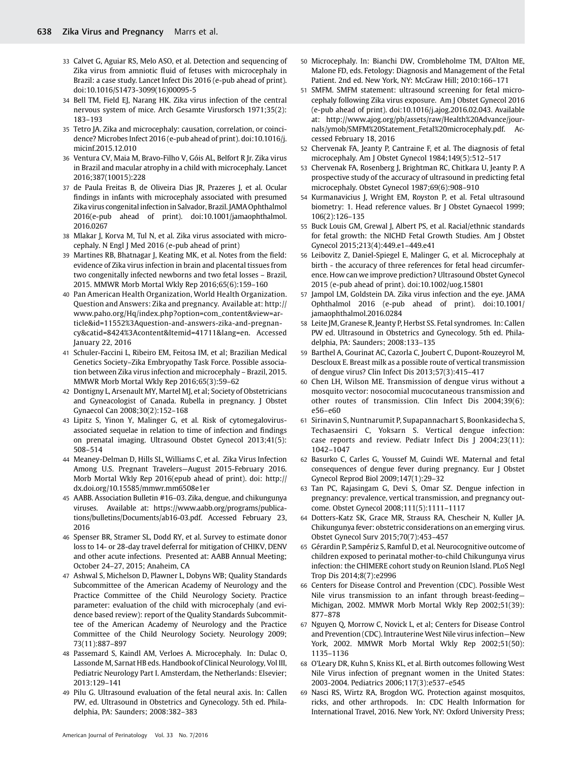- 33 Calvet G, Aguiar RS, Melo ASO, et al. Detection and sequencing of Zika virus from amniotic fluid of fetuses with microcephaly in Brazil: a case study. Lancet Infect Dis 2016 (e-pub ahead of print). doi:10.1016/S1473-3099(16)00095-5
- 34 Bell TM, Field EJ, Narang HK. Zika virus infection of the central nervous system of mice. Arch Gesamte Virusforsch 1971;35(2): 183–193
- 35 Tetro JA. Zika and microcephaly: causation, correlation, or coincidence? Microbes Infect 2016 (e-pub ahead of print). doi:10.1016/j. micinf.2015.12.010
- 36 Ventura CV, Maia M, Bravo-Filho V, Góis AL, Belfort R Jr. Zika virus in Brazil and macular atrophy in a child with microcephaly. Lancet 2016;387(10015):228
- 37 de Paula Freitas B, de Oliveira Dias JR, Prazeres J, et al. Ocular findings in infants with microcephaly associated with presumed Zika virus congenital infection in Salvador, Brazil. JAMA Ophthalmol 2016(e-pub ahead of print). doi:10.1001/jamaophthalmol. 2016.0267
- 38 Mlakar J, Korva M, Tul N, et al. Zika virus associated with microcephaly. N Engl J Med 2016 (e-pub ahead of print)
- 39 Martines RB, Bhatnagar J, Keating MK, et al. Notes from the field: evidence of Zika virus infection in brain and placental tissues from two congenitally infected newborns and two fetal losses – Brazil, 2015. MMWR Morb Mortal Wkly Rep 2016;65(6):159–160
- 40 Pan American Health Organization, World Health Organization. Question and Answers: Zika and pregnancy. Available at: [http://](http://www.paho.org/Hq/index.php&x003F;option=com_content&x0026;view=article&x0026;id=11552&x0025;3Aquestion-and-answers-zika-and-pregnancy&x0026;catid=8424&x0025;3Acontent&x0026;Itemid=41711&x0026;lang=en) [www.paho.org/Hq/index.php?option=com\\_content&view=ar](http://www.paho.org/Hq/index.php&x003F;option=com_content&x0026;view=article&x0026;id=11552&x0025;3Aquestion-and-answers-zika-and-pregnancy&x0026;catid=8424&x0025;3Acontent&x0026;Itemid=41711&x0026;lang=en)[ticle&id=11552%3Aquestion-and-answers-zika-and-pregnan](http://www.paho.org/Hq/index.php&x003F;option=com_content&x0026;view=article&x0026;id=11552&x0025;3Aquestion-and-answers-zika-and-pregnancy&x0026;catid=8424&x0025;3Acontent&x0026;Itemid=41711&x0026;lang=en)[cy&catid=8424%3Acontent&Itemid=41711&lang=en.](http://www.paho.org/Hq/index.php&x003F;option=com_content&x0026;view=article&x0026;id=11552&x0025;3Aquestion-and-answers-zika-and-pregnancy&x0026;catid=8424&x0025;3Acontent&x0026;Itemid=41711&x0026;lang=en) Accessed January 22, 2016
- 41 Schuler-Faccini L, Ribeiro EM, Feitosa IM, et al; Brazilian Medical Genetics Society–Zika Embryopathy Task Force. Possible association between Zika virus infection and microcephaly – Brazil, 2015. MMWR Morb Mortal Wkly Rep 2016;65(3):59–62
- 42 Dontigny L, Arsenault MY, Martel MJ, et al; Society of Obstetricians and Gyneacologist of Canada. Rubella in pregnancy. J Obstet Gynaecol Can 2008;30(2):152–168
- 43 Lipitz S, Yinon Y, Malinger G, et al. Risk of cytomegalovirusassociated sequelae in relation to time of infection and findings on prenatal imaging. Ultrasound Obstet Gynecol 2013;41(5): 508–514
- 44 Meaney-Delman D, Hills SL, Williams C, et al. Zika Virus Infection Among U.S. Pregnant Travelers—August 2015-February 2016. Morb Mortal Wkly Rep 2016(epub ahead of print). doi: [http://](http://dx.doi.org/10.15585/mmwr.mm6508e1er) [dx.doi.org/10.15585/mmwr.mm6508e1er](http://dx.doi.org/10.15585/mmwr.mm6508e1er)
- 45 AABB. Association Bulletin #16–03. Zika, dengue, and chikungunya viruses. Available at: [https://www.aabb.org/programs/publica](https://www.aabb.org/programs/publications/bulletins/Documents/ab16-03.pdf)[tions/bulletins/Documents/ab16-03.pdf.](https://www.aabb.org/programs/publications/bulletins/Documents/ab16-03.pdf) Accessed February 23, 2016
- 46 Spenser BR, Stramer SL, Dodd RY, et al. Survey to estimate donor loss to 14- or 28-day travel deferral for mitigation of CHIKV, DENV and other acute infections. Presented at: AABB Annual Meeting; October 24–27, 2015; Anaheim, CA
- 47 Ashwal S, Michelson D, Plawner L, Dobyns WB; Quality Standards Subcommittee of the American Academy of Neurology and the Practice Committee of the Child Neurology Society. Practice parameter: evaluation of the child with microcephaly (and evidence based review): report of the Quality Standards Subcommittee of the American Academy of Neurology and the Practice Committee of the Child Neurology Society. Neurology 2009; 73(11):887–897
- 48 Passemard S, Kaindl AM, Verloes A. Microcephaly. In: Dulac O, Lassonde M, Sarnat HB eds. Handbook of Clinical Neurology, Vol III, Pediatric Neurology Part I. Amsterdam, the Netherlands: Elsevier; 2013:129–141
- 49 Pilu G. Ultrasound evaluation of the fetal neural axis. In: Callen PW, ed. Ultrasound in Obstetrics and Gynecology. 5th ed. Philadelphia, PA: Saunders; 2008:382–383
- 50 Microcephaly. In: Bianchi DW, Crombleholme TM, D'Alton ME, Malone FD, eds. Fetology: Diagnosis and Management of the Fetal Patient. 2nd ed. New York, NY: McGraw Hill; 2010:166–171
- 51 SMFM. SMFM statement: ultrasound screening for fetal microcephaly following Zika virus exposure. Am J Obstet Gynecol 2016 (e-pub ahead of print). doi:10.1016/j.ajog.2016.02.043. Available at: [http://www.ajog.org/pb/assets/raw/Health%20Advance/jour](http://www.ajog.org/pb/assets/raw/Health&x0025;20Advance/journals/ymob/SMFM&x0025;20Statement_Fetal&x0025;20microcephaly.pdf)[nals/ymob/SMFM%20Statement\\_Fetal%20microcephaly.pdf.](http://www.ajog.org/pb/assets/raw/Health&x0025;20Advance/journals/ymob/SMFM&x0025;20Statement_Fetal&x0025;20microcephaly.pdf) Accessed February 18, 2016
- 52 Chervenak FA, Jeanty P, Cantraine F, et al. The diagnosis of fetal microcephaly. Am J Obstet Gynecol 1984;149(5):512–517
- 53 Chervenak FA, Rosenberg J, Brightman RC, Chitkara U, Jeanty P. A prospective study of the accuracy of ultrasound in predicting fetal microcephaly. Obstet Gynecol 1987;69(6):908–910
- 54 Kurmanavicius J, Wright EM, Royston P, et al. Fetal ultrasound biometry: 1. Head reference values. Br J Obstet Gynaecol 1999; 106(2):126–135
- 55 Buck Louis GM, Grewal J, Albert PS, et al. Racial/ethnic standards for fetal growth: the NICHD Fetal Growth Studies. Am J Obstet Gynecol 2015;213(4):449.e1–449.e41
- 56 Leibovitz Z, Daniel-Spiegel E, Malinger G, et al. Microcephaly at birth - the accuracy of three references for fetal head circumference. How can we improve prediction? Ultrasound Obstet Gynecol 2015 (e-pub ahead of print). doi:10.1002/uog.15801
- 57 Jampol LM, Goldstein DA. Zika virus infection and the eye. JAMA Ophthalmol 2016 (e-pub ahead of print). doi:10.1001/ jamaophthalmol.2016.0284
- 58 Leite JM, Granese R, Jeanty P, Herbst SS. Fetal syndromes. In: Callen PW ed. Ultrasound in Obstetrics and Gynecology. 5th ed. Philadelphia, PA: Saunders; 2008:133–135
- 59 Barthel A, Gourinat AC, Cazorla C, Joubert C, Dupont-Rouzeyrol M, Descloux E. Breast milk as a possible route of vertical transmission of dengue virus? Clin Infect Dis 2013;57(3):415–417
- 60 Chen LH, Wilson ME. Transmission of dengue virus without a mosquito vector: nosocomial mucocutaneous transmission and other routes of transmission. Clin Infect Dis 2004;39(6): e56–e60
- 61 Sirinavin S, Nuntnarumit P, Supapannachart S, Boonkasidecha S, Techasaensiri C, Yoksarn S. Vertical dengue infection: case reports and review. Pediatr Infect Dis J 2004;23(11): 1042–1047
- 62 Basurko C, Carles G, Youssef M, Guindi WE. Maternal and fetal consequences of dengue fever during pregnancy. Eur J Obstet Gynecol Reprod Biol 2009;147(1):29–32
- 63 Tan PC, Rajasingam G, Devi S, Omar SZ. Dengue infection in pregnancy: prevalence, vertical transmission, and pregnancy outcome. Obstet Gynecol 2008;111(5):1111–1117
- 64 Dotters-Katz SK, Grace MR, Strauss RA, Chescheir N, Kuller JA. Chikungunya fever: obstetric considerations on an emerging virus. Obstet Gynecol Surv 2015;70(7):453–457
- 65 Gérardin P, Sampériz S, Ramful D, et al. Neurocognitive outcome of children exposed to perinatal mother-to-child Chikungunya virus infection: the CHIMERE cohort study on Reunion Island. PLoS Negl Trop Dis 2014;8(7):e2996
- 66 Centers for Disease Control and Prevention (CDC). Possible West Nile virus transmission to an infant through breast-feeding— Michigan, 2002. MMWR Morb Mortal Wkly Rep 2002;51(39): 877–878
- 67 Nguyen Q, Morrow C, Novick L, et al; Centers for Disease Control and Prevention (CDC). Intrauterine West Nile virus infection—New York, 2002. MMWR Morb Mortal Wkly Rep 2002;51(50): 1135–1136
- 68 O'Leary DR, Kuhn S, Kniss KL, et al. Birth outcomes following West Nile Virus infection of pregnant women in the United States: 2003-2004. Pediatrics 2006;117(3):e537–e545
- 69 Nasci RS, Wirtz RA, Brogdon WG. Protection against mosquitos, ricks, and other arthropods. In: CDC Health Information for International Travel, 2016. New York, NY: Oxford University Press;